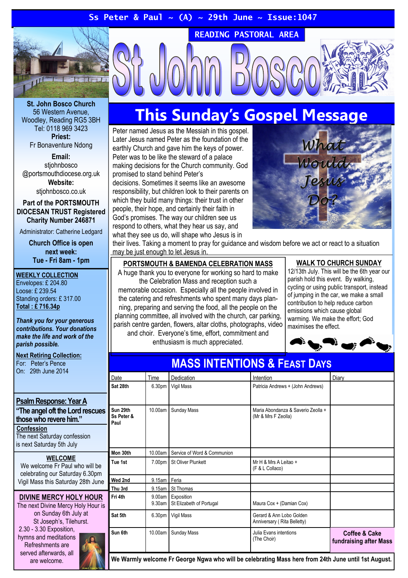## Ss Peter & Paul ~ (A) ~ 29th June ~ Issue:1047



St. John Bosco Church 56 Western Avenue, Woodley, Reading RG5 3BH Tel: 0118 969 3423 Priest: Fr Bonaventure Ndong

Email: stiohnbosco @portsmouthdiocese.org.uk Website:

stiohnbosco.co.uk

#### Part of the PORTSMOUTH DIOCESAN TRUST Registered Charity Number 246871

Administrator: Catherine Ledgard

Church Office is open next week: Tue - Fri 8am - 1pm

#### WEEKLY COLLECTION

Envelopes: £ 204.80 Loose: £ 239.54 Standing orders: £ 317.00 Total : £ 716.34p

Thank you for your generous contributions. Your donations make the life and work of the parish possible.

## Next Retiring Collection:

For: Peter's Pence On: 29th June 2014

## Psalm Response: Year A

"The angel oft the Lord rescues those who revere him." **Confession** The next Saturday confession is next Saturday 5th July

## WELCOME

We welcome Fr Paul who will be celebrating our Saturday 6.30pm Vigil Mass this Saturday 28th June

## DIVINE MERCY HOLY HOUR

The next Divine Mercy Holy Hour is on Sunday 6th July at St Joseph's, Tilehurst. 2.30 - 3.30 Exposition,

hymns and meditations Refreshments are served afterwards, all are welcome.

# This Sunday's Gospel Message

READING PASTORAL AREA

Peter named Jesus as the Messiah in this gospel. Later Jesus named Peter as the foundation of the earthly Church and gave him the keys of power. Peter was to be like the steward of a palace making decisions for the Church community. God promised to stand behind Peter's

decisions. Sometimes it seems like an awesome responsibility, but children look to their parents on which they build many things: their trust in other people, their hope, and certainly their faith in God's promises. The way our children see us respond to others, what they hear us say, and what they see us do, will shape who Jesus is in



their lives. Taking a moment to pray for guidance and wisdom before we act or react to a situation may be just enough to let Jesus in.

## PORTSMOUTH & BAMENDA CELEBRATION MASS

A huge thank you to everyone for working so hard to make the Celebration Mass and reception such a

memorable occasion. Especially all the people involved in the catering and refreshments who spent many days planning, preparing and serving the food, all the people on the planning committee, all involved with the church, car parking, parish centre garden, flowers, altar cloths, photographs, video and choir. Everyone's time, effort, commitment and

enthusiasm is much appreciated.

## WALK TO CHURCH SUNDAY

12/13th July. This will be the 6th year our parish hold this event. By walking, cycling or using public transport, instead of jumping in the car, we make a small contribution to help reduce carbon emissions which cause global warming. We make the effort; God maximises the effect.



| <u>MAJJ IN I EN HUNJ &amp; FEASH DAYS</u> |                    |                                        |                                                           |                                                    |
|-------------------------------------------|--------------------|----------------------------------------|-----------------------------------------------------------|----------------------------------------------------|
| Date                                      | Time               | <b>Dedication</b>                      | Intention                                                 | Diary                                              |
| Sat 28th                                  | 6.30 <sub>pm</sub> | Vigil Mass                             | Patricia Andrews + (John Andrews)                         |                                                    |
| Sun 29th<br>Ss Peter &<br>Paul            | 10.00am            | <b>Sunday Mass</b>                     | Maria Abondanza & Saverio Zeolla +<br>(Mr & Mrs F Zeolla) |                                                    |
| Mon 30th                                  | 10.00am            | Service of Word & Communion            |                                                           |                                                    |
| Tue 1st                                   | 7.00pm             | <b>St Oliver Plunkett</b>              | Mr H & Mrs A Leitao +<br>(F & L Collaco)                  |                                                    |
| Wed 2nd                                   | 9.15am Feria       |                                        |                                                           |                                                    |
| Thu 3rd                                   | 9.15am             | St Thomas                              |                                                           |                                                    |
| Fri 4th                                   | 9.00am<br>9.30am   | Exposition<br>St Elizabeth of Portugal | Maura Cox + (Damian Cox)                                  |                                                    |
| Sat 5th                                   | 6.30 <sub>pm</sub> | Vigil Mass                             | Gerard & Ann Lobo Golden<br>Anniversary (Rita Belletty)   |                                                    |
| Sun 6th                                   | 10.00am            | Sunday Mass                            | Julia Evans intentions<br>(The Choir)                     | <b>Coffee &amp; Cake</b><br>fundraising after Mass |

MASS INTENTIONS & FEAST DAYS

We Warmly welcome Fr George Ngwa who will be celebrating Mass here from 24th June until 1st August.